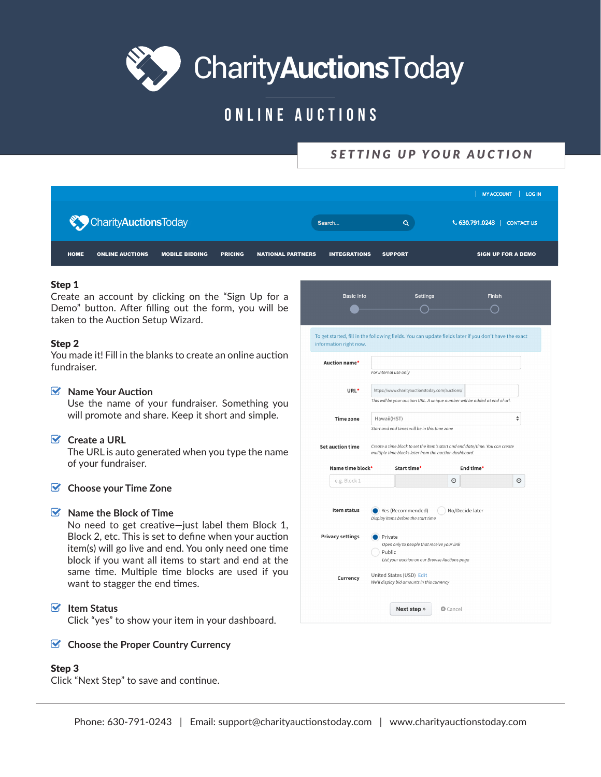

# ONLINE AUCTIONS

# SETTING UP YOUR AUCTION

|                                       |                       |                |                          |                     |                | MY ACCOUNT   LOG IN         |
|---------------------------------------|-----------------------|----------------|--------------------------|---------------------|----------------|-----------------------------|
| CharityAuctionsToday                  |                       |                |                          | Search              | Q              | ↓ 630.791.0243   CONTACT US |
| <b>ONLINE AUCTIONS</b><br><b>HOME</b> | <b>MOBILE BIDDING</b> | <b>PRICING</b> | <b>NATIONAL PARTNERS</b> | <b>INTEGRATIONS</b> | <b>SUPPORT</b> | <b>SIGN UP FOR A DEMO</b>   |

#### Step 1

Create an account by clicking on the "Sign Up for a Demo" button. After filling out the form, you will be taken to the Auction Setup Wizard.

#### Step<sub>2</sub>

You made it! Fill in the blanks to create an online auction fundraiser.

#### $\triangledown$  Name Your Auction

Use the name of your fundraiser. Something you will promote and share. Keep it short and simple.

#### $\triangleright$  Create a URL

The URL is auto generated when you type the name of your fundraiser.

#### $\bullet$  Choose your Time Zone

#### $\triangleright$  Name the Block of Time

No need to get creative-just label them Block 1, Block 2, etc. This is set to define when your auction item(s) will go live and end. You only need one time block if you want all items to start and end at the same time. Multiple time blocks are used if you want to stagger the end times.

## $\triangleright$  Item Status

Click "yes" to show your item in your dashboard.

#### Choose the Proper Country Currency

### Step<sub>3</sub>

Click "Next Step" to save and continue.

| <b>Basic Info</b>       | <b>Settings</b>                                                                                                  |              | <b>Finish</b>   |   |
|-------------------------|------------------------------------------------------------------------------------------------------------------|--------------|-----------------|---|
|                         |                                                                                                                  |              |                 |   |
| information right now.  | To get started, fill in the following fields. You can update fields later if you don't have the exact            |              |                 |   |
| Auction name*           |                                                                                                                  |              |                 |   |
|                         | For internal use only                                                                                            |              |                 |   |
| URL*                    | https://www.charityauctionstoday.com/auctions/                                                                   |              |                 |   |
|                         | This will be your auction URL. A unique number will be added at end of url.                                      |              |                 |   |
| <b>Time zone</b>        | Hawaii(HST)<br>Start and end times will be in this time zone                                                     |              |                 | ÷ |
|                         |                                                                                                                  |              |                 |   |
|                         | multiple time blocks later from the auction dashboard.                                                           |              |                 |   |
| Name time block*        | Start time*                                                                                                      |              | End time*       |   |
| e.g. Block 1            |                                                                                                                  | $^\circledR$ |                 | O |
| Item status             | Yes (Recommended)<br>Display items before the start time                                                         |              | No/Decide later |   |
| <b>Privacy settings</b> | Private<br>Open only to people that receive your link<br>Public<br>List your auction on our Browse Auctions page |              |                 |   |
| Currency                | United States (USD) Edit<br>We'll display bid amounts in this currency                                           |              |                 |   |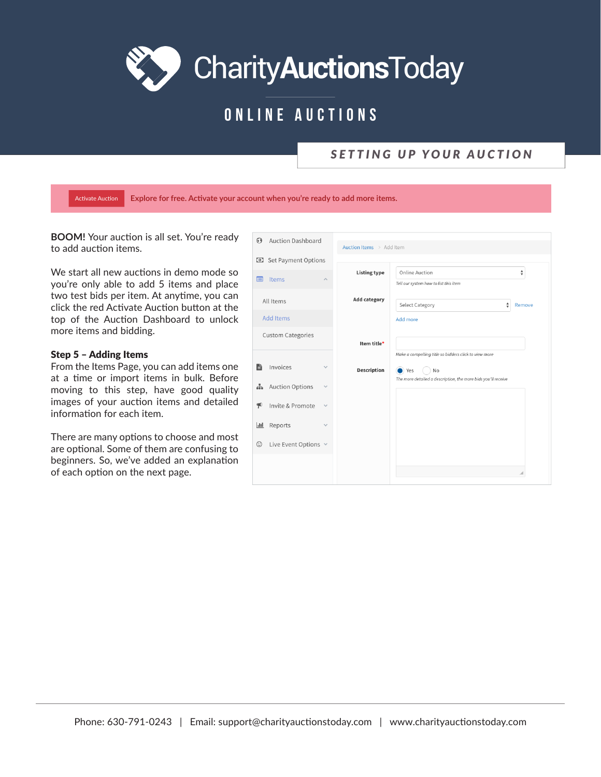# ONLINE AUCTIONS

## SETTING UP YOUR AUCTION

Activate Auction Explore for free. Activate your account when you're ready to add more items.

BOOM! Your auction is all set. You're ready to add auction items.

We start all new auctions in demo mode so you're only able to add 5 items and place two test bids per item. At anytime, you can click the red Activate Auction button at the top of the Auction Dashboard to unlock more items and bidding.

#### Step 5 - Adding Items

From the Items Page, you can add items one at a time or import items in bulk. Before moving to this step, have good quality images of your auction items and detailed information for each item.

There are many options to choose and most are optional. Some of them are confusing to beginners. So, we've added an explanation of each option on the next page.

| $\Theta$<br><b>Auction Dashboard</b>              | Auction Items > Add Item |                                                               |        |
|---------------------------------------------------|--------------------------|---------------------------------------------------------------|--------|
| Set Payment Options<br>$\Theta$                   |                          |                                                               |        |
| Items<br>E<br>$\hat{\phantom{a}}$                 | <b>Listing type</b>      | Online Auction<br>Tell our system how to list this item       | ÷      |
| All Items                                         | <b>Add category</b>      | ÷<br><b>Select Category</b>                                   | Remove |
| <b>Add Items</b>                                  |                          | Add more                                                      |        |
| <b>Custom Categories</b>                          | Item title*              | Make a compelling title so bidders click to view more         |        |
| B<br>Invoices<br>$\checkmark$                     | <b>Description</b>       | No<br>Yes                                                     |        |
| <b>Auction Options</b><br>出<br>$\checkmark$       |                          | The more detailed a description, the more bids you'll receive |        |
| $\mathcal{P}$<br>Invite & Promote<br>$\checkmark$ |                          |                                                               |        |
| Reports<br>$\overline{\mathbf{H}}$<br>$\sim$      |                          |                                                               |        |
| $\odot$<br>Live Event Options v                   |                          |                                                               |        |
|                                                   |                          |                                                               |        |
|                                                   |                          |                                                               |        |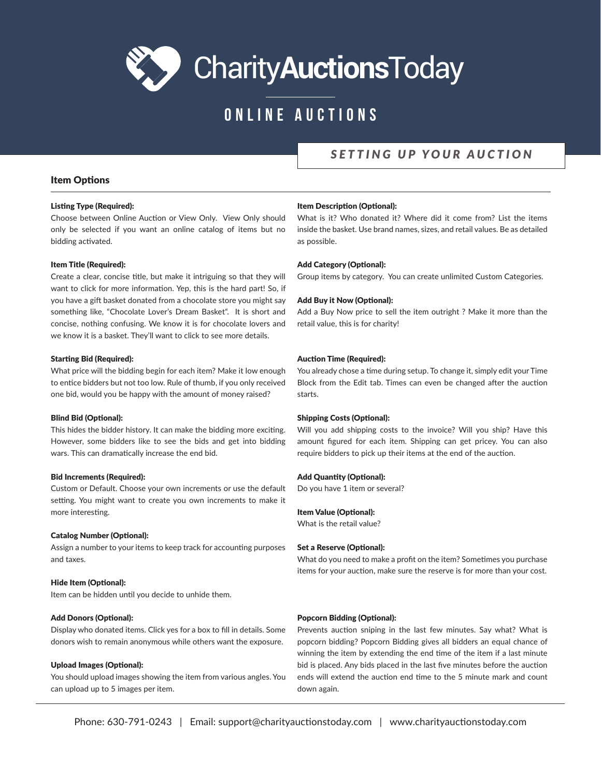# ONLINE AUCTIONS

## SETTING UP YOUR AUCTION

#### **Item Options**

#### **Listing Type (Required):**

Choose between Online Auction or View Only. View Only should only be selected if you want an online catalog of items but no bidding activated.

#### **Item Title (Required):**

Create a clear, concise title, but make it intriguing so that they will want to click for more information. Yep, this is the hard part! So, if you have a gift basket donated from a chocolate store you might say something like, "Chocolate Lover's Dream Basket". It is short and concise, nothing confusing. We know it is for chocolate lovers and we know it is a basket. They'll want to click to see more details.

#### **Starting Bid (Required):**

What price will the bidding begin for each item? Make it low enough to entice bidders but not too low. Rule of thumb, if you only received one bid, would you be happy with the amount of money raised?

#### **Blind Bid (Optional):**

This hides the bidder history. It can make the bidding more exciting. However, some bidders like to see the bids and get into bidding wars. This can dramatically increase the end bid.

#### **Bid Increments (Required):**

Custom or Default. Choose your own increments or use the default setting. You might want to create you own increments to make it more interesting.

#### **Catalog Number (Optional):**

Assign a number to your items to keep track for accounting purposes and taxes.

#### Hide Item (Optional):

Item can be hidden until you decide to unhide them.

#### **Add Donors (Optional):**

Display who donated items. Click yes for a box to fill in details. Some donors wish to remain anonymous while others want the exposure.

#### **Upload Images (Optional):**

You should upload images showing the item from various angles. You can upload up to 5 images per item.

#### **Item Description (Optional):**

What is it? Who donated it? Where did it come from? List the items inside the basket. Use brand names, sizes, and retail values. Be as detailed as possible.

#### **Add Category (Optional):**

Group items by category. You can create unlimited Custom Categories.

#### **Add Buy it Now (Optional):**

Add a Buy Now price to sell the item outright ? Make it more than the retail value, this is for charity!

#### **Auction Time (Required):**

You already chose a time during setup. To change it, simply edit your Time Block from the Edit tab. Times can even be changed after the auction starts.

#### **Shipping Costs (Optional):**

Will you add shipping costs to the invoice? Will you ship? Have this amount figured for each item. Shipping can get pricey. You can also require bidders to pick up their items at the end of the auction.

#### **Add Quantity (Optional):**

Do you have 1 item or several?

#### **Item Value (Optional):**

What is the retail value?

#### Set a Reserve (Optional):

What do you need to make a profit on the item? Sometimes you purchase items for your auction, make sure the reserve is for more than your cost.

#### **Popcorn Bidding (Optional):**

Prevents auction sniping in the last few minutes. Say what? What is popcorn bidding? Popcorn Bidding gives all bidders an equal chance of winning the item by extending the end time of the item if a last minute bid is placed. Any bids placed in the last five minutes before the auction ends will extend the auction end time to the 5 minute mark and count down again.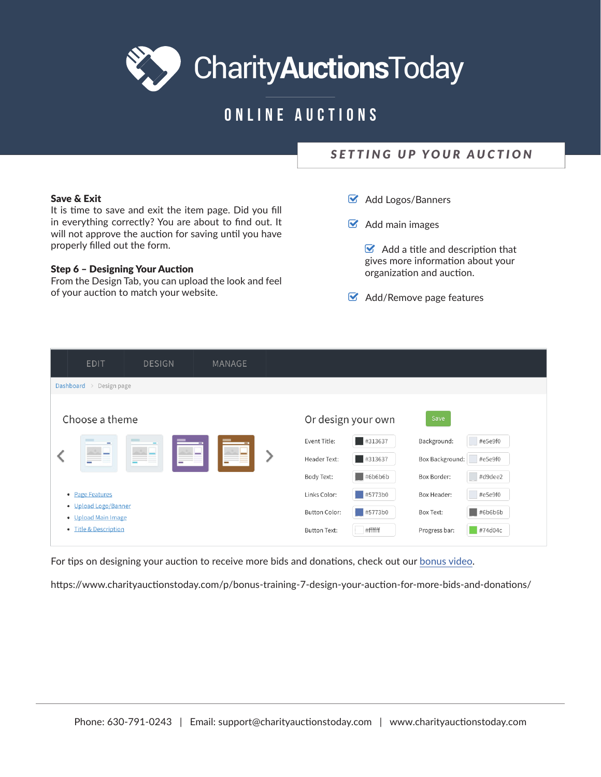# ONLINE AUCTIONS

# SETTING UP YOUR AUCTION

#### **Save & Exit**

It is time to save and exit the item page. Did you fill in everything correctly? You are about to find out. It will not approve the auction for saving until you have properly filled out the form.

#### **Step 6 - Designing Your Auction**

From the Design Tab, you can upload the look and feel of your auction to match your website.

- Add Logos/Banners
- $\bullet$  Add main images

 $\triangleright$  Add a title and description that gives more information about your organization and auction.

 $\bullet$  Add/Remove page features

| <b>EDIT</b>                                 | <b>DESIGN</b> |                          | MANAGE |  |                      |                                  |                 |                        |
|---------------------------------------------|---------------|--------------------------|--------|--|----------------------|----------------------------------|-----------------|------------------------|
| Dashboard > Design page                     |               |                          |        |  |                      |                                  |                 |                        |
| Choose a theme                              |               |                          |        |  |                      | Or design your own               | Save            |                        |
|                                             |               |                          |        |  | Event Title:         | $\frac{1}{2}$ #313637            | Background:     | $\#e5e9f0$             |
|                                             |               | $\overline{\phantom{a}}$ |        |  | Header Text:         | #313637                          | Box Background: | #e5e9f0                |
|                                             |               |                          |        |  | Body Text:           | $\parallel$ #6b6b6b              | Box Border:     | #d9dee2                |
| • Page Features                             |               |                          |        |  | Links Color:         | $\overline{\phantom{0}}$ #5773b0 | Box Header:     | #e5e9f0                |
| • Upload Logo/Banner<br>• Upload Main Image |               |                          |        |  | <b>Button Color:</b> | $\parallel$ #5773b0              | Box Text:       | $\blacksquare$ #6b6b6b |
| • Title & Description                       |               |                          |        |  | <b>Button Text:</b>  | #ffffff                          | Progress bar:   | #74d04c                |

For tips on designing your auction to receive more bids and donations, check out our bonus video.

https://www.charityauctionstoday.com/p/bonus-training-7-design-your-auction-for-more-bids-and-donations/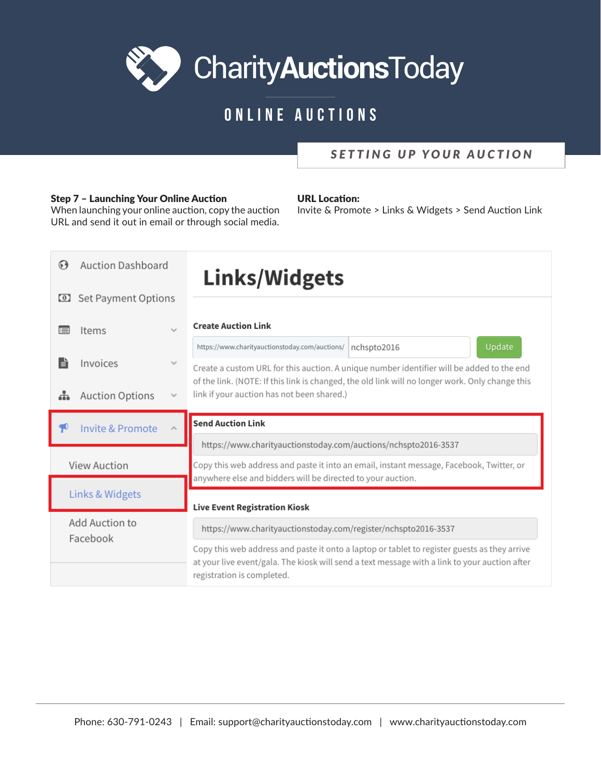# ONLINE AUCTIONS

## SETTING UP YOUR AUCTION

## **Step 7 - Launching Your Online Auction**

When launching your online auction, copy the auction URL and send it out in email or through social media.

### **URL** Location:

Invite & Promote > Links & Widgets > Send Auction Link

| <b>Auction Dashboard</b><br>$\mathbf{G}$               |              | <b>Links/Widgets</b>                                                                                                                                                                                                        |  |  |  |  |  |
|--------------------------------------------------------|--------------|-----------------------------------------------------------------------------------------------------------------------------------------------------------------------------------------------------------------------------|--|--|--|--|--|
| Set Payment Options<br>$\omega$                        |              |                                                                                                                                                                                                                             |  |  |  |  |  |
| Items<br>$\checkmark$<br>$\equiv$                      |              | <b>Create Auction Link</b>                                                                                                                                                                                                  |  |  |  |  |  |
|                                                        |              | Update<br>https://www.charityauctionstoday.com/auctions/<br>nchspto2016                                                                                                                                                     |  |  |  |  |  |
| Ë<br>Invoices                                          | $\checkmark$ | Create a custom URL for this auction. A unique number identifier will be added to the end                                                                                                                                   |  |  |  |  |  |
| <b>Auction Options</b><br>ዹ                            | $\checkmark$ | of the link. (NOTE: If this link is changed, the old link will no longer work. Only change this<br>link if your auction has not been shared.)                                                                               |  |  |  |  |  |
| <b>Invite &amp; Promote</b><br>$\widehat{\phantom{a}}$ |              | <b>Send Auction Link</b>                                                                                                                                                                                                    |  |  |  |  |  |
| <b>View Auction</b>                                    |              | https://www.charityauctionstoday.com/auctions/nchspto2016-3537                                                                                                                                                              |  |  |  |  |  |
|                                                        |              | Copy this web address and paste it into an email, instant message, Facebook, Twitter, or                                                                                                                                    |  |  |  |  |  |
| Links & Widgets                                        |              | anywhere else and bidders will be directed to your auction.                                                                                                                                                                 |  |  |  |  |  |
|                                                        |              | <b>Live Event Registration Kiosk</b>                                                                                                                                                                                        |  |  |  |  |  |
| Add Auction to<br>Facebook                             |              | https://www.charityauctionstoday.com/register/nchspto2016-3537                                                                                                                                                              |  |  |  |  |  |
|                                                        |              | Copy this web address and paste it onto a laptop or tablet to register guests as they arrive<br>at your live event/gala. The kiosk will send a text message with a link to your auction after<br>registration is completed. |  |  |  |  |  |